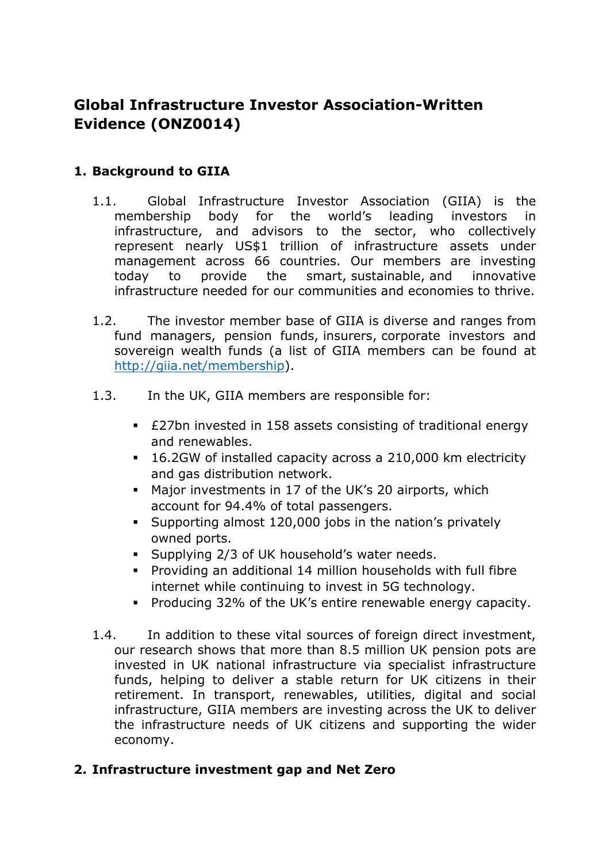# **Global Infrastructure Investor Association-Written Evidence (ONZ0014)**

#### **1. Background to GIIA**

- 1.1. Global Infrastructure Investor Association (GIIA) is the membership body for the world's leading investors in infrastructure, and advisors to the sector, who collectively represent nearly US\$1 trillion of infrastructure assets under management across 66 countries. Our members are investing today to provide the smart, sustainable, and innovative infrastructure needed for our communities and economies to thrive.
- 1.2. The investor member base of GIIA is diverse and ranges from fund managers, pension funds, insurers, corporate investors and sovereign wealth funds (a list of GIIA members can be found at [http://giia.net/membership\)](http://giia.net/membership).
- 1.3. In the UK, GIIA members are responsible for:
	- £27bn invested in 158 assets consisting of traditional energy and renewables.
	- 16.2GW of installed capacity across a 210,000 km electricity and gas distribution network.
	- Major investments in 17 of the UK's 20 airports, which account for 94.4% of total passengers.
	- Supporting almost 120,000 jobs in the nation's privately owned ports.
	- Supplying 2/3 of UK household's water needs.
	- Providing an additional 14 million households with full fibre internet while continuing to invest in 5G technology.
	- Producing 32% of the UK's entire renewable energy capacity.
- 1.4. In addition to these vital sources of foreign direct investment, our research shows that more than 8.5 million UK pension pots are invested in UK national infrastructure via specialist infrastructure funds, helping to deliver a stable return for UK citizens in their retirement. In transport, renewables, utilities, digital and social infrastructure, GIIA members are investing across the UK to deliver the infrastructure needs of UK citizens and supporting the wider economy.

#### **2. Infrastructure investment gap and Net Zero**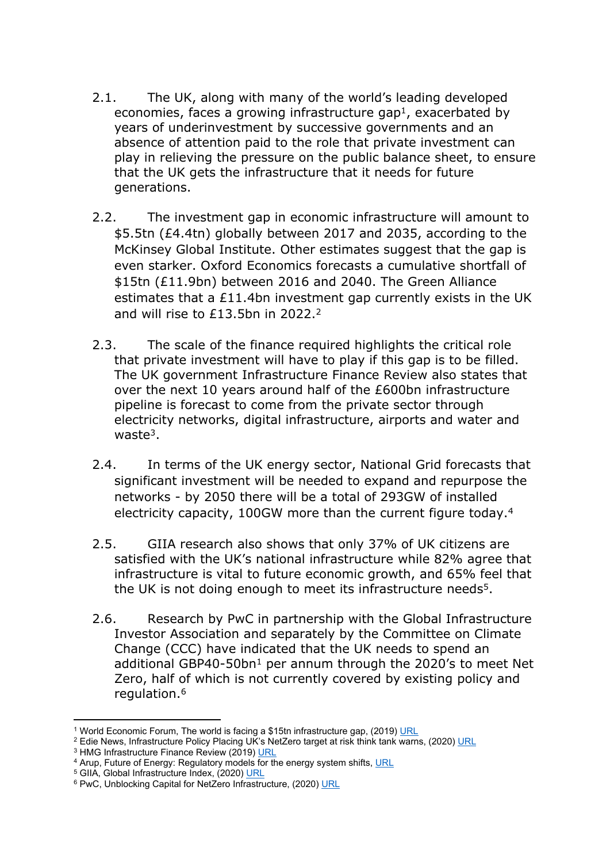- 2.1. The UK, along with many of the world's leading developed economies, faces a growing infrastructure gap<sup>1</sup>, exacerbated by years of underinvestment by successive governments and an absence of attention paid to the role that private investment can play in relieving the pressure on the public balance sheet, to ensure that the UK gets the infrastructure that it needs for future generations.
- 2.2. The investment gap in economic infrastructure will amount to \$5.5tn (£4.4tn) globally between 2017 and 2035, according to the McKinsey Global Institute. Other estimates suggest that the gap is even starker. Oxford Economics forecasts a cumulative shortfall of \$15tn (£11.9bn) between 2016 and 2040. The Green Alliance estimates that a £11.4bn investment gap currently exists in the UK and will rise to £13.5bn in 2022.<sup>2</sup>
- 2.3. The scale of the finance required highlights the critical role that private investment will have to play if this gap is to be filled. The UK government Infrastructure Finance Review also states that over the next 10 years around half of the £600bn infrastructure pipeline is forecast to come from the private sector through electricity networks, digital infrastructure, airports and water and waste $3$ .
- 2.4. In terms of the UK energy sector, National Grid forecasts that significant investment will be needed to expand and repurpose the networks - by 2050 there will be a total of 293GW of installed electricity capacity, 100GW more than the current figure today.<sup>4</sup>
- 2.5. GIIA research also shows that only 37% of UK citizens are satisfied with the UK's national infrastructure while 82% agree that infrastructure is vital to future economic growth, and 65% feel that the UK is not doing enough to meet its infrastructure needs<sup>5</sup>.
- 2.6. Research by PwC in partnership with the Global Infrastructure Investor Association and separately by the Committee on Climate Change (CCC) have indicated that the UK needs to spend an additional GBP40-50bn<sup>1</sup> per annum through the 2020's to meet Net Zero, half of which is not currently covered by existing policy and regulation.<sup>6</sup>

<sup>&</sup>lt;sup>1</sup> World Economic Forum, The world is facing a \$15tn infrastructure gap, (2019) [URL](https://www.weforum.org/agenda/2019/04/infrastructure-gap-heres-how-to-solve-it/)

<sup>&</sup>lt;sup>2</sup> Edie News, Infrastructure Policy Placing UK's NetZero target at risk think tank warns, (2020) [URL](https://www.edie.net/news/11/Infrastructure-policy-placing-UK-s-net-zero-target-at-risk--thinktank-warns/e)

<sup>&</sup>lt;sup>3</sup> HMG Infrastructure Finance Review (2019) [URL](https://www.gov.uk/government/consultations/infrastructure-finance-review)

<sup>&</sup>lt;sup>4</sup> Arup, Future of Energy: Regulatory models for the energy system shifts, [URL](https://www.arup.com/perspectives/publications/research/section/the-future-of-energy-regulatory-models-for-the-energy-system-shift)

<sup>&</sup>lt;sup>5</sup> GIIA, Global Infrastructure Index, (2020) [URL](http://giia.net/wp-content/uploads/2020/10/Global-Infrastructure-Index-Slides-2020.pdf)

<sup>&</sup>lt;sup>6</sup> PwC, Unblocking Capital for NetZero Infrastructure, (2020) [URL](https://www.pwc.co.uk/assets/document/Unlocking-capital-for-net-zero-PwC-Nov-2020.pdf)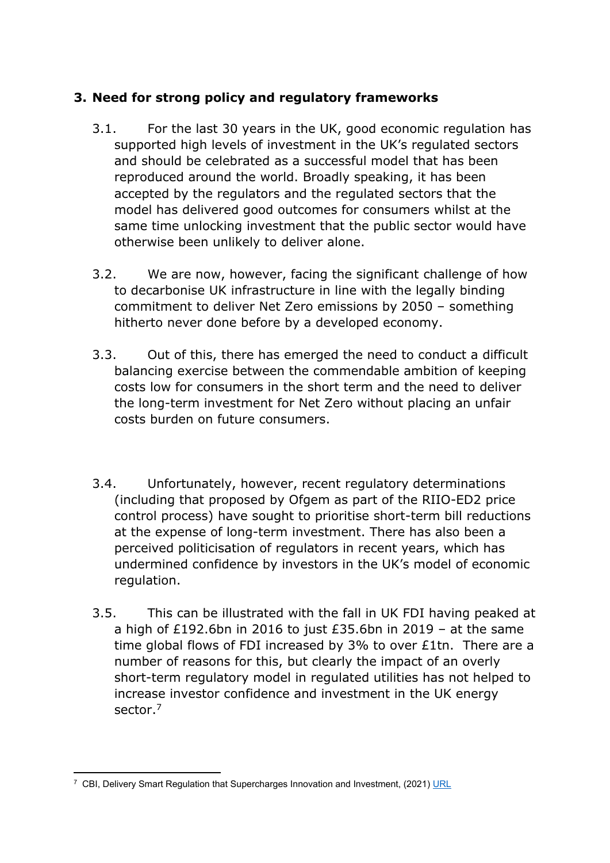#### **3. Need for strong policy and regulatory frameworks**

- 3.1. For the last 30 years in the UK, good economic regulation has supported high levels of investment in the UK's regulated sectors and should be celebrated as a successful model that has been reproduced around the world. Broadly speaking, it has been accepted by the regulators and the regulated sectors that the model has delivered good outcomes for consumers whilst at the same time unlocking investment that the public sector would have otherwise been unlikely to deliver alone.
- 3.2. We are now, however, facing the significant challenge of how to decarbonise UK infrastructure in line with the legally binding commitment to deliver Net Zero emissions by 2050 – something hitherto never done before by a developed economy.
- 3.3. Out of this, there has emerged the need to conduct a difficult balancing exercise between the commendable ambition of keeping costs low for consumers in the short term and the need to deliver the long-term investment for Net Zero without placing an unfair costs burden on future consumers.
- 3.4. Unfortunately, however, recent regulatory determinations (including that proposed by Ofgem as part of the RIIO-ED2 price control process) have sought to prioritise short-term bill reductions at the expense of long-term investment. There has also been a perceived politicisation of regulators in recent years, which has undermined confidence by investors in the UK's model of economic regulation.
- 3.5. This can be illustrated with the fall in UK FDI having peaked at a high of £192.6bn in 2016 to just £35.6bn in 2019 – at the same time global flows of FDI increased by 3% to over £1tn. There are a number of reasons for this, but clearly the impact of an overly short-term regulatory model in regulated utilities has not helped to increase investor confidence and investment in the UK energy sector.<sup>7</sup>

<sup>&</sup>lt;sup>7</sup> CBI, Delivery Smart Regulation that Supercharges Innovation and Investment, (2021) [URL](https://www.cbi.org.uk/our-campaigns/deliver-smart-regulation-that-supercharges-innovation-and-investment/)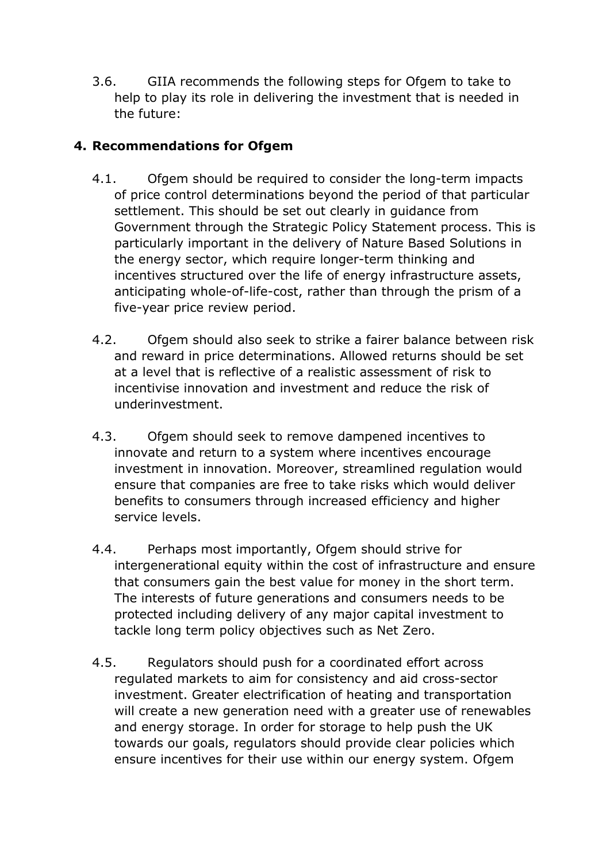3.6. GIIA recommends the following steps for Ofgem to take to help to play its role in delivering the investment that is needed in the future:

### **4. Recommendations for Ofgem**

- 4.1. Ofgem should be required to consider the long-term impacts of price control determinations beyond the period of that particular settlement. This should be set out clearly in guidance from Government through the Strategic Policy Statement process. This is particularly important in the delivery of Nature Based Solutions in the energy sector, which require longer-term thinking and incentives structured over the life of energy infrastructure assets, anticipating whole-of-life-cost, rather than through the prism of a five-year price review period.
- 4.2. Ofgem should also seek to strike a fairer balance between risk and reward in price determinations. Allowed returns should be set at a level that is reflective of a realistic assessment of risk to incentivise innovation and investment and reduce the risk of underinvestment.
- 4.3. Ofgem should seek to remove dampened incentives to innovate and return to a system where incentives encourage investment in innovation. Moreover, streamlined regulation would ensure that companies are free to take risks which would deliver benefits to consumers through increased efficiency and higher service levels.
- 4.4. Perhaps most importantly, Ofgem should strive for intergenerational equity within the cost of infrastructure and ensure that consumers gain the best value for money in the short term. The interests of future generations and consumers needs to be protected including delivery of any major capital investment to tackle long term policy objectives such as Net Zero.
- 4.5. Regulators should push for a coordinated effort across regulated markets to aim for consistency and aid cross-sector investment. Greater electrification of heating and transportation will create a new generation need with a greater use of renewables and energy storage. In order for storage to help push the UK towards our goals, regulators should provide clear policies which ensure incentives for their use within our energy system. Ofgem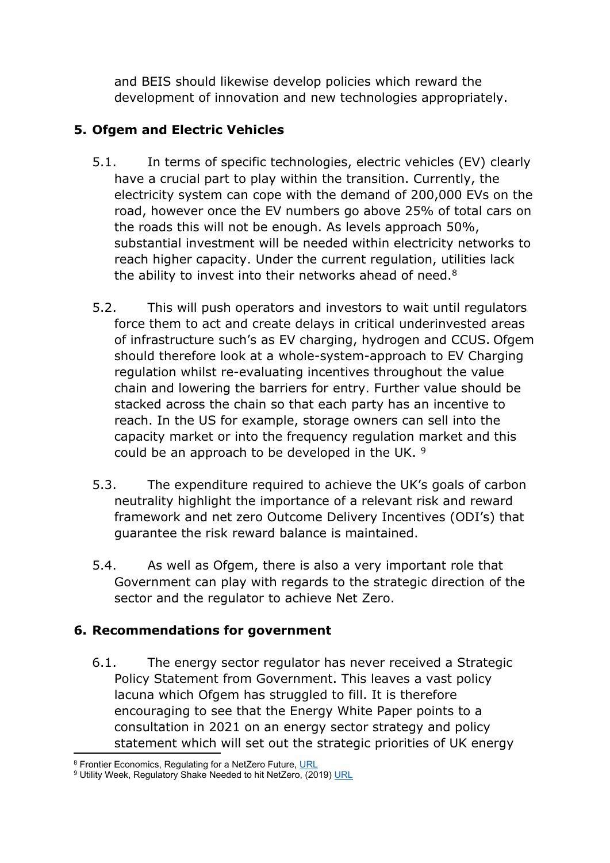and BEIS should likewise develop policies which reward the development of innovation and new technologies appropriately.

## **5. Ofgem and Electric Vehicles**

- 5.1. In terms of specific technologies, electric vehicles (EV) clearly have a crucial part to play within the transition. Currently, the electricity system can cope with the demand of 200,000 EVs on the road, however once the EV numbers go above 25% of total cars on the roads this will not be enough. As levels approach 50%, substantial investment will be needed within electricity networks to reach higher capacity. Under the current regulation, utilities lack the ability to invest into their networks ahead of need.<sup>8</sup>
- 5.2. This will push operators and investors to wait until regulators force them to act and create delays in critical underinvested areas of infrastructure such's as EV charging, hydrogen and CCUS. Ofgem should therefore look at a whole-system-approach to EV Charging regulation whilst re-evaluating incentives throughout the value chain and lowering the barriers for entry. Further value should be stacked across the chain so that each party has an incentive to reach. In the US for example, storage owners can sell into the capacity market or into the frequency regulation market and this could be an approach to be developed in the UK. <sup>9</sup>
- 5.3. The expenditure required to achieve the UK's goals of carbon neutrality highlight the importance of a relevant risk and reward framework and net zero Outcome Delivery Incentives (ODI's) that guarantee the risk reward balance is maintained.
- 5.4. As well as Ofgem, there is also a very important role that Government can play with regards to the strategic direction of the sector and the regulator to achieve Net Zero.

### **6. Recommendations for government**

6.1. The energy sector regulator has never received a Strategic Policy Statement from Government. This leaves a vast policy lacuna which Ofgem has struggled to fill. It is therefore encouraging to see that the Energy White Paper points to a consultation in 2021 on an energy sector strategy and policy statement which will set out the strategic priorities of UK energy

<sup>8</sup> Frontier Economics, Regulating for a NetZero Future, [URL](http://www.frontier-economics.com/uk/en/news-and-articles/articles/article-i6919-regulating-for-a-net-zero-future/)

<sup>&</sup>lt;sup>9</sup> Utility Week, Regulatory Shake Needed to hit NetZero, (2019) [URL](https://utilityweek.co.uk/regulatory-shake-needed-hit-net-zero/)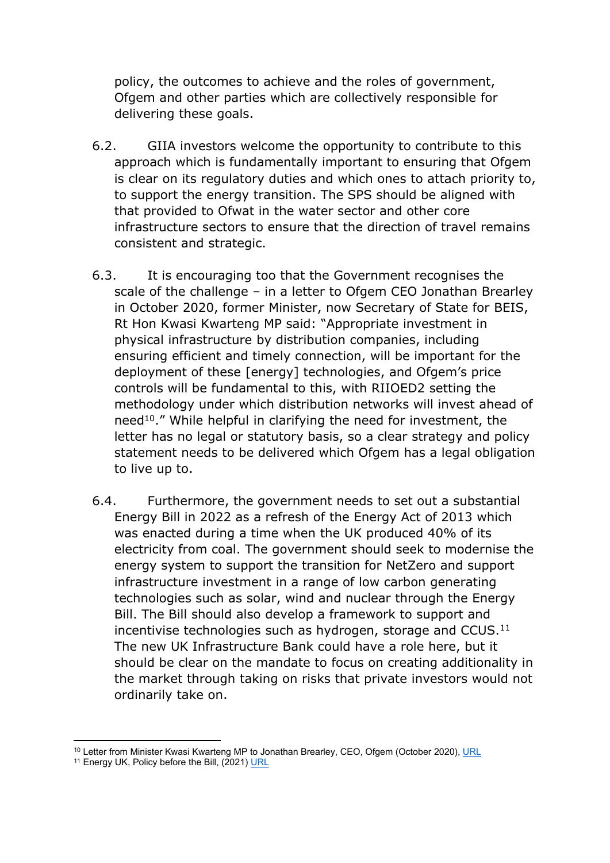policy, the outcomes to achieve and the roles of government, Ofgem and other parties which are collectively responsible for delivering these goals.

- 6.2. GIIA investors welcome the opportunity to contribute to this approach which is fundamentally important to ensuring that Ofgem is clear on its regulatory duties and which ones to attach priority to, to support the energy transition. The SPS should be aligned with that provided to Ofwat in the water sector and other core infrastructure sectors to ensure that the direction of travel remains consistent and strategic.
- 6.3. It is encouraging too that the Government recognises the scale of the challenge – in a letter to Ofgem CEO Jonathan Brearley in October 2020, former Minister, now Secretary of State for BEIS, Rt Hon Kwasi Kwarteng MP said: "Appropriate investment in physical infrastructure by distribution companies, including ensuring efficient and timely connection, will be important for the deployment of these [energy] technologies, and Ofgem's price controls will be fundamental to this, with RIIOED2 setting the methodology under which distribution networks will invest ahead of need<sup>10</sup>." While helpful in clarifying the need for investment, the letter has no legal or statutory basis, so a clear strategy and policy statement needs to be delivered which Ofgem has a legal obligation to live up to.
- 6.4. Furthermore, the government needs to set out a substantial Energy Bill in 2022 as a refresh of the Energy Act of 2013 which was enacted during a time when the UK produced 40% of its electricity from coal. The government should seek to modernise the energy system to support the transition for NetZero and support infrastructure investment in a range of low carbon generating technologies such as solar, wind and nuclear through the Energy Bill. The Bill should also develop a framework to support and incentivise technologies such as hydrogen, storage and CCUS.<sup>11</sup> The new UK Infrastructure Bank could have a role here, but it should be clear on the mandate to focus on creating additionality in the market through taking on risks that private investors would not ordinarily take on.

<sup>&</sup>lt;sup>10</sup> Letter from Minister Kwasi Kwarteng MP to Jonathan Brearley, CEO, Ofgem (October 2020), [URL](https://assets.publishing.service.gov.uk/government/uploads/system/uploads/attachment_data/file/943755/letter-to-jonathan-brearley.pdf)

<sup>&</sup>lt;sup>11</sup> Energy UK, Policy before the Bill, (2021) [URL](https://www.energy-uk.org.uk/media-and-campaigns/energy-uk-blogs/7889-policy-before-the-bill.html)